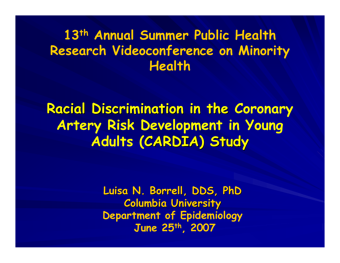#### **13th Annual Summer Public Health Research Videoconference on Minority Health**

**Racial Discrimination in the Coronary Artery Risk Development in Young Adults (CARDIA) Study CARDIA) Study**

> **Luisa N. Borrell, DDS, PhD Luisa N. Borrell, DDS, PhD Columbia University Columbia University Department of Epidemiology June 25th, 2007**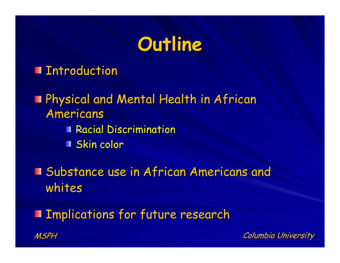### **Outline Outline**

**Introduction** 

**Physical and Mental Health in African** Americans Americans Racial Discrimination  $\blacksquare$  Skin color

**I** Substance use in African Americans and whites

MSPHImplications for future research Implications for future research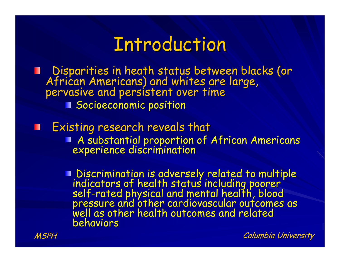#### **Introduction**

I Disparities in heath status between blacks (or<br>African Americans) and whites are large,<br>pervasive and persistent over time **Socioeconomic position** 

Existing research reveals that ш **A** substantial proportion of African Americans experience discrimination

> I Discrimination is adversely related to multiple<br>indicators of health status including poorer<br>self-rated physical and mental health, blood<br>pressure and other cardiovascular outcomes as<br>well as other health outcomes and re behaviors

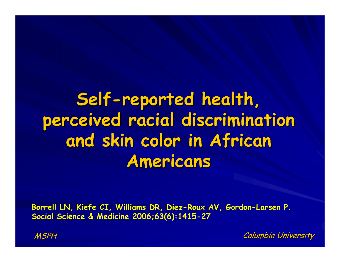## Self-reported health, **perceived racial discrimination perceived racial discrimination**  and skin color in African **Americans Americans**

**Borrell LN, Kiefe CI, Williams DR, Diez-Roux AV, Gordon-Larsen P. Social Science & Medicine 2006;63(6):1415-27** 

MSPH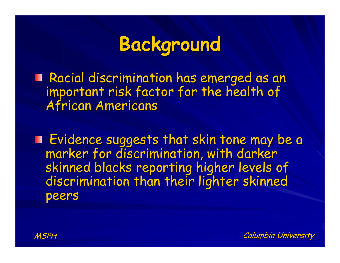# **Background Background**

Racial discrimination has emerged as an important risk factor for the health of important risk factor for the health of

Evidence suggests that skin tone may be a Evidence suggests that skin tone may be a marker for discrimination, with darker marker for discrimination, with darker discrimination than their lighter skinned peers

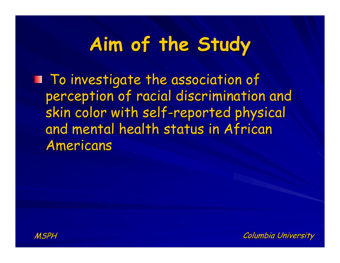# **Aim of the Study Aim of the Study**

**To investigate the association of** perception of racial discrimination and skin color with self-reported physical and mental health status in African Americans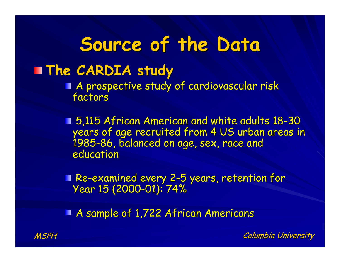## **Source of the Data Source of the Data**

#### **The CARDIA study The CARDIA study**

A prospective study of cardiovascular risk<br>factors

**5,115 African American and white adults 18-30** years of age recruited from 4 US urban areas in<br>1985-86, balanced on age, sex, race and<br>education

Re-examined every 2-5 years, retention for Sear 15 (2000-01): 74%

A sample of 1,722 African Americans

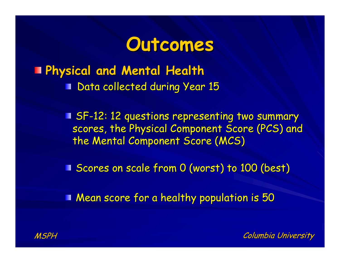#### **Outcomes Outcomes**

**Physical and Mental Health Physical and Mental Health Data collected during Year 15** 

> **E SF-12: 12 questions representing two summary** scores, the Physical Component Score (PCS) and the Mental Component Score (MCS)

**Scores on scale from 0 (worst) to 100 (best)** 

**Mean score for a healthy population is 50** 

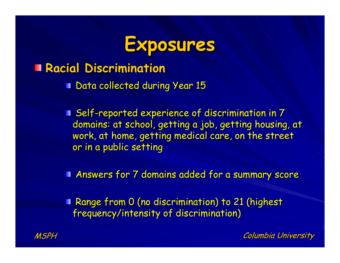

#### **Racial Discrimination Racial Discrimination**

**Data collected during Year 15** 

**Self-reported experience of discrimination in 7** domains: at school, getting a job, getting housing, at work, at home, getting medical care, on the street or in a public setting

Answers for 7 domains added for a summary score Answers for 7 domains added for a summary score

**Range from 0 (no discrimination) to 21 (highest** frequency/intensity of discrimination)

MSPH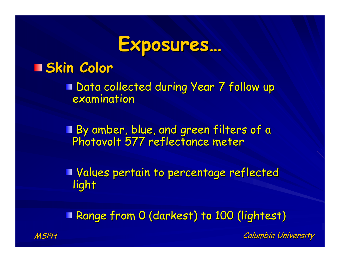

#### **Skin Color Skin Color**

**Data collected during Year 7 follow up** examination

By amber, blue, and green filters of a By amber, blue, and green filters of a Photovolt Photovolt 577 reflectance meter 577 reflectance meter

Values pertain to percentage reflected Values pertain to percentage reflected light

**Range from 0 (darkest) to 100 (lightest)** 

**Columbia University** 

MSPH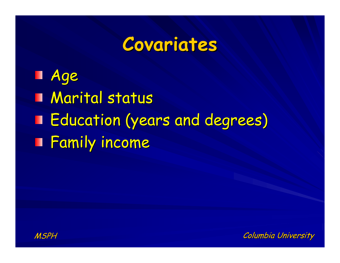#### **Covariates Covariates**

Age **Marital status** Education (years and degrees) Education (years and degrees) **Family income** 



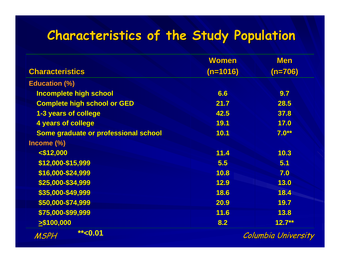#### **Characteristics of the Study Population Characteristics of the Study Population**

|                                      | <b>Women</b>        | <b>Men</b>  |  |
|--------------------------------------|---------------------|-------------|--|
| <b>Characteristics</b>               | $(n=1016)$          | $(n=706)$   |  |
| <b>Education (%)</b>                 |                     |             |  |
| <b>Incomplete high school</b>        | 6.6                 | 9.7         |  |
| <b>Complete high school or GED</b>   | 21.7                | 28.5        |  |
| 1-3 years of college                 | 42.5                | 37.8        |  |
| <b>4 years of college</b>            | <b>19.1</b>         | 17.0        |  |
| Some graduate or professional school | 10.1                | $7.0**$     |  |
| Income (%)                           |                     |             |  |
| $<$ \$12,000                         | 11.4                | 10.3        |  |
| \$12,000-\$15,999                    | 5.5                 | 5.1         |  |
| \$16,000-\$24,999                    | 10.8                | 7.0         |  |
| \$25,000-\$34,999                    | 12.9                | 13.0        |  |
| \$35,000-\$49,999                    | 18.6                | 18.4        |  |
| \$50,000-\$74,999                    | 20.9                | 19.7        |  |
| \$75,000-\$99,999                    | 11.6                | <b>13.8</b> |  |
| $\geq$ \$100,000                     | 8.2                 | $12.7***$   |  |
| $*$ < 0.01<br>MSPH                   | Columbia University |             |  |

Columbia University Columbia University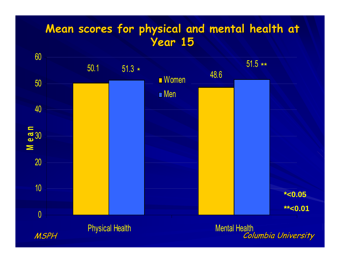#### **Mean scores for physical and mental health at Year 15 Year 15**

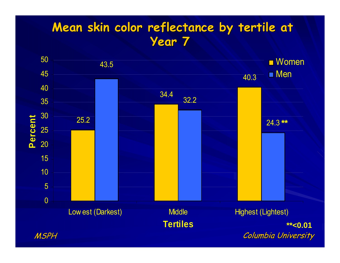#### **Mean skin color reflectance by tertile at Year 7**

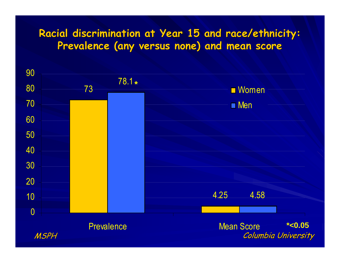#### **Racial discrimination at Year 15 and race/ethnicity:** Prevalence (any versus none) and mean score

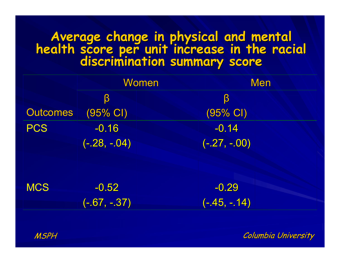# Average change in physical and mental<br>health score per unit increase in the racial<br>discrimination summary score

|                 |                     | Women<br><b>Men</b> |
|-----------------|---------------------|---------------------|
|                 | β                   | β                   |
| <b>Outcomes</b> | $(95\% \text{ Cl})$ | (95% CI)            |
| <b>PCS</b>      | $-0.16$             | $-0.14$             |
|                 | $(-.28, -.04)$      | $(-.27, -.00)$      |
|                 |                     |                     |
|                 |                     |                     |
| <b>MCS</b>      | $-0.52$             | $-0.29$             |
|                 | $(-.67, -.37)$      | $(-.45, -.14)$      |
|                 |                     |                     |

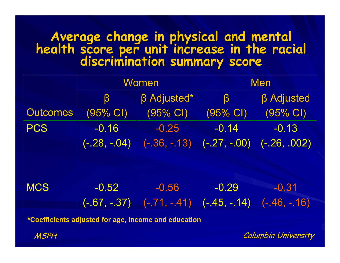# Average change in physical and mental<br>health score per unit increase in the racial<br>discrimination summary score

|                 | Women                 |                    | <b>Men</b>         |                    |
|-----------------|-----------------------|--------------------|--------------------|--------------------|
|                 | β                     | <b>B</b> Adjusted* | β                  | <b>B</b> Adjusted  |
| <b>Outcomes</b> | $(95\% \; \text{CI})$ | $(95% \text{ Cl})$ | $(95% \text{ Cl})$ | $(95% \text{ Cl})$ |
| <b>PCS</b>      | $-0.16$               | $-0.25$            | $-0.14$            | $-0.13$            |
|                 | $(-.28, -.04)$        | $(-.36, -.13)$     | $(-.27, -.00)$     | $(-.26, .002)$     |
|                 |                       |                    |                    |                    |
|                 |                       |                    |                    |                    |
| <b>MCS</b>      | $-0.52$               | $-0.56$            | $-0.29$            | $-0.31$            |
|                 | (-.67, -.37)          | $(-.71, -.41)$     | $((-45, -.14))$    | $(-.46, -.16)$     |
|                 |                       |                    |                    |                    |

**\*Coefficients adjusted for age, income and education**

MSPH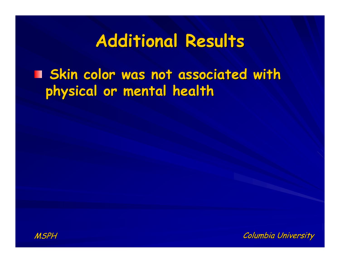## **Additional Results Additional Results**

**Skin color was not associated with physical or mental health physical or mental health**



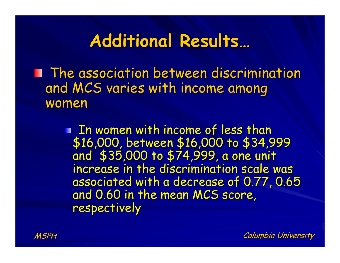#### **Additional Results… Additional Results…**

**The association between discrimination** and MCS varies with income among women

> I In women with income of less than \$16,000, between \$16,000 to \$34,999 and \$35,000 to \$74,999, a one unit increase in the discrimination scale was associated with a decrease of 0.77, 0.65 and 0.60 in the mean MCS score, respectively

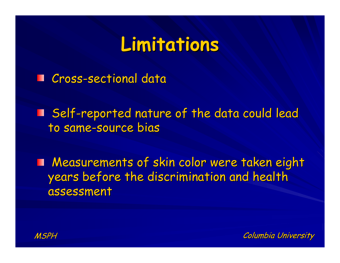## **Limitations Limitations**

Cross-sectional data ш

I Self-reported nature of the data could lead to same-source bias

**Measurements of skin color were taken eight** years before the discrimination and health assessment

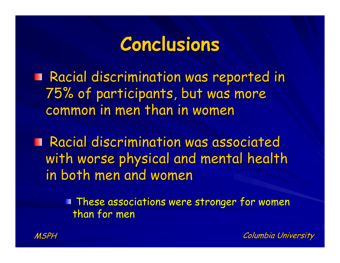## **Conclusions Conclusions**

**Racial discrimination was reported in** 75% of participants, but was more 75% of participants, but was more common in men than in women

**Racial discrimination was associated** with worse physical and mental health in both men and women

> **These associations were stronger for women** than for men

MSPH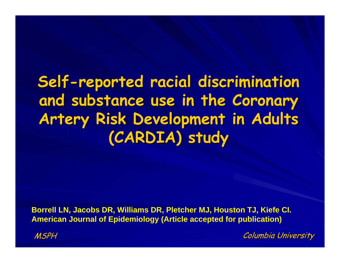#### **Self-reported racial discrimination** and substance use in the Coronary **Artery Risk Development in Adults (CARDIA) study (CARDIA) study**

**Borrell LN, Jacobs DR, Williams DR, Pletcher MJ, Houston TJ, Kiefe CI. American Journal of Epidemiology (Article accepted for publication)**

MSPH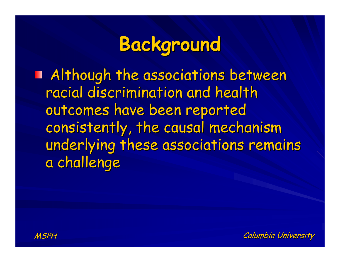# **Background Background**

**Although the associations between** racial discrimination and health outcomes have been reported consistently, the causal mechanism underlying these associations remains a challenge

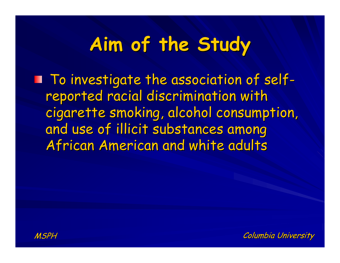# **Aim of the Study Aim of the Study**

 $\blacksquare$  To investigate the association of selfreported racial discrimination with cigarette smoking, alcohol consumption, and use of illicit substances among African American and white adults

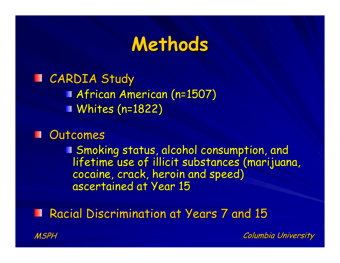#### **Methods Methods**

**Example Study African American (n=1507)**  $\n$  Whites (n=1822)

Outcomes ш

I Smoking status, alcohol consumption, and<br>lifetime use of illicit substances (marijuana,<br>cocaine, crack, heroin and speed)<br>ascertained at Year 15

**Racial Discrimination at Years 7 and 15** 

MSPH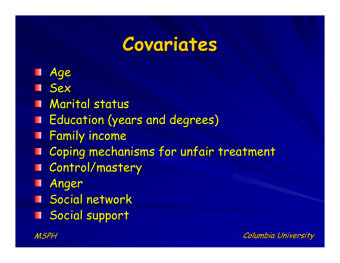## **Covariates Covariates**

- Age
- **Sex**
- **Marital status**
- **F** Education (years and degrees)
- **Family income**
- Coping mechanisms for unfair treatment ш
- **T** Control/mastery
- Anger ш
- **N** Social network
- **Social support**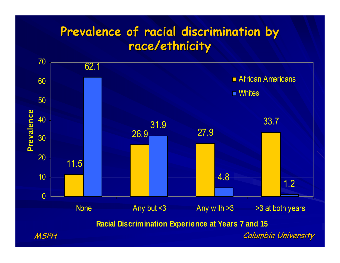#### Prevalence of racial discrimination by **race/ethnicity race/ethnicity**

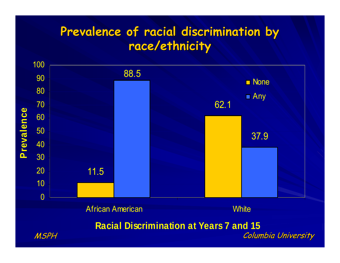#### Prevalence of racial discrimination by **race/ethnicity race/ethnicity**

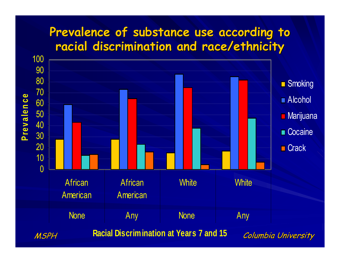#### Prevalence of substance use according to **racial discrimination and race/ethnicity racial discrimination and race/ethnicity**

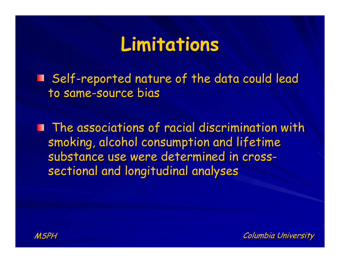### **Limitations Limitations**

**Self-reported nature of the data could lead** to same-source bias

**The associations of racial discrimination with** smoking, alcohol consumption and lifetime substance use were determined in crosssectional and longitudinal analyses

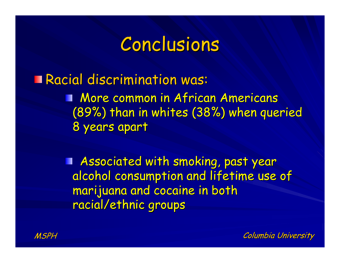#### Conclusions

Racial discrimination was: **More common in African Americans** (89%) than in whites (38%) when queried 8 years apart 8 years apart

> Associated with smoking, past year Ш alcohol consumption and lifetime use of marijuana and cocaine in both racial/ethnic groups

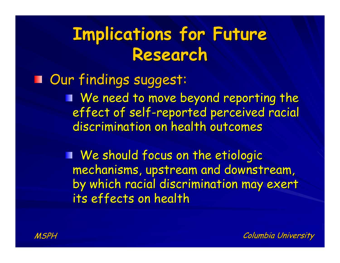## **Implications for Future Research Research**

Our findings suggest: Our findings suggest: We need to move beyond reporting the effect of self-reported perceived racial discrimination on health outcomes

> We should focus on the etiologic We should focus on the etiologic mechanisms, upstream and downstream, by which racial discrimination may exert its effects on health